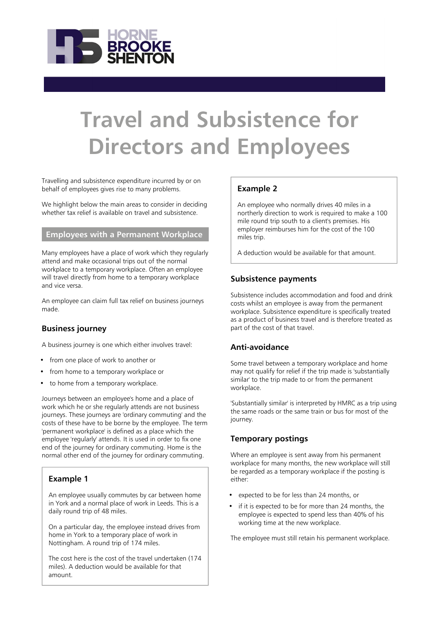

# **Travel and Subsistence for Directors and Employees**

Travelling and subsistence expenditure incurred by or on behalf of employees gives rise to many problems.

We highlight below the main areas to consider in deciding whether tax relief is available on travel and subsistence.

## **Employees with a Permanent Workplace**

Many employees have a place of work which they regularly attend and make occasional trips out of the normal workplace to a temporary workplace. Often an employee will travel directly from home to a temporary workplace and vice versa.

An employee can claim full tax relief on business journeys made.

#### **Business journey**

A business journey is one which either involves travel:

- from one place of work to another or
- from home to a temporary workplace or
- to home from a temporary workplace.

Journeys between an employee's home and a place of work which he or she regularly attends are not business journeys. These journeys are 'ordinary commuting' and the costs of these have to be borne by the employee. The term 'permanent workplace' is defined as a place which the employee 'regularly' attends. It is used in order to fix one end of the journey for ordinary commuting. Home is the normal other end of the journey for ordinary commuting.

## **Example 1**

An employee usually commutes by car between home in York and a normal place of work in Leeds. This is a daily round trip of 48 miles.

On a particular day, the employee instead drives from home in York to a temporary place of work in Nottingham. A round trip of 174 miles.

The cost here is the cost of the travel undertaken (174 miles). A deduction would be available for that amount.

## **Example 2**

An employee who normally drives 40 miles in a northerly direction to work is required to make a 100 mile round trip south to a client's premises. His employer reimburses him for the cost of the 100 miles trip.

A deduction would be available for that amount.

#### **Subsistence payments**

Subsistence includes accommodation and food and drink costs whilst an employee is away from the permanent workplace. Subsistence expenditure is specifically treated as a product of business travel and is therefore treated as part of the cost of that travel.

## **Anti-avoidance**

Some travel between a temporary workplace and home may not qualify for relief if the trip made is 'substantially similar' to the trip made to or from the permanent workplace.

'Substantially similar' is interpreted by HMRC as a trip using the same roads or the same train or bus for most of the journey.

#### **Temporary postings**

Where an employee is sent away from his permanent workplace for many months, the new workplace will still be regarded as a temporary workplace if the posting is either:

- expected to be for less than 24 months, or
- if it is expected to be for more than 24 months, the employee is expected to spend less than 40% of his working time at the new workplace.

The employee must still retain his permanent workplace.